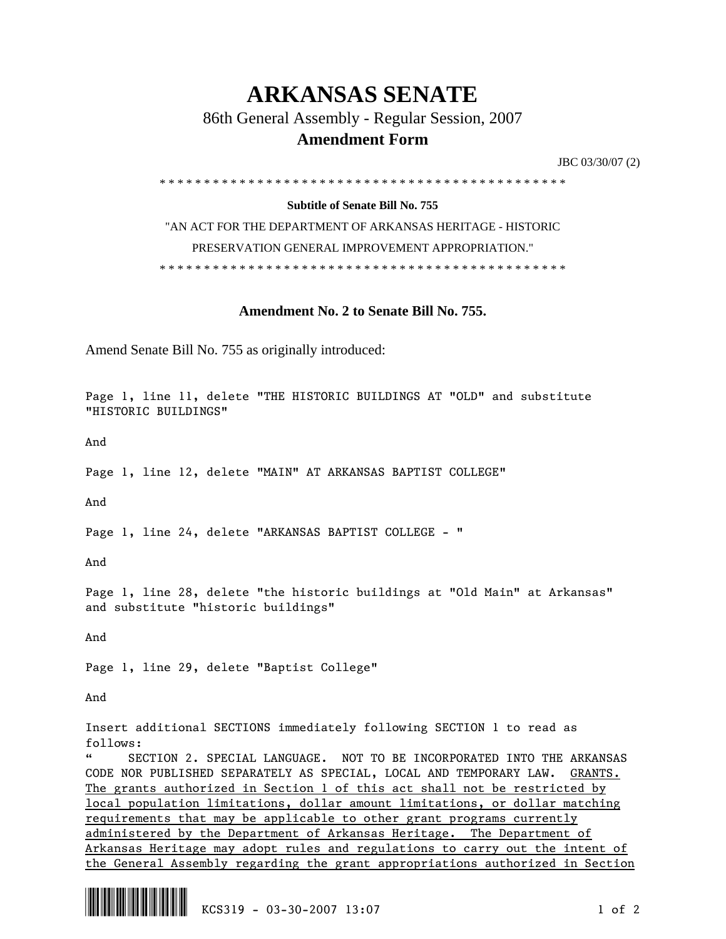## **ARKANSAS SENATE**

86th General Assembly - Regular Session, 2007

## **Amendment Form**

JBC 03/30/07 (2)

\* \* \* \* \* \* \* \* \* \* \* \* \* \* \* \* \* \* \* \* \* \* \* \* \* \* \* \* \* \* \* \* \* \* \* \* \* \* \* \* \* \* \* \* \* \*

## **Subtitle of Senate Bill No. 755**

"AN ACT FOR THE DEPARTMENT OF ARKANSAS HERITAGE - HISTORIC PRESERVATION GENERAL IMPROVEMENT APPROPRIATION." \* \* \* \* \* \* \* \* \* \* \* \* \* \* \* \* \* \* \* \* \* \* \* \* \* \* \* \* \* \* \* \* \* \* \* \* \* \* \* \* \* \* \* \* \* \*

**Amendment No. 2 to Senate Bill No. 755.** 

Amend Senate Bill No. 755 as originally introduced:

Page 1, line 11, delete "THE HISTORIC BUILDINGS AT "OLD" and substitute "HISTORIC BUILDINGS"

And

Page 1, line 12, delete "MAIN" AT ARKANSAS BAPTIST COLLEGE"

And

Page 1, line 24, delete "ARKANSAS BAPTIST COLLEGE - "

And

Page 1, line 28, delete "the historic buildings at "Old Main" at Arkansas" and substitute "historic buildings"

And

Page 1, line 29, delete "Baptist College"

And

Insert additional SECTIONS immediately following SECTION 1 to read as follows:

" SECTION 2. SPECIAL LANGUAGE. NOT TO BE INCORPORATED INTO THE ARKANSAS CODE NOR PUBLISHED SEPARATELY AS SPECIAL, LOCAL AND TEMPORARY LAW. GRANTS. The grants authorized in Section 1 of this act shall not be restricted by local population limitations, dollar amount limitations, or dollar matching requirements that may be applicable to other grant programs currently administered by the Department of Arkansas Heritage. The Department of Arkansas Heritage may adopt rules and regulations to carry out the intent of the General Assembly regarding the grant appropriations authorized in Section